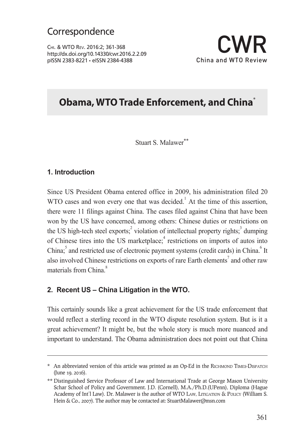Chi. & WTO Rev. 2016:2; 361-368 http://dx.doi.org/10.14330/cwr.2016.2.2.09 pISSN 2383-8221 • eISSN 2384-4388 China and WTO Review



### **Obama, WTO Trade Enforcement, and China**<sup>∗</sup>

### Stuart S. Malawer<sup>\*\*</sup>

#### **1. Introduction**

Since US President Obama entered office in 2009, his administration filed 20 WTO cases and won every one that was decided.<sup>1</sup> At the time of this assertion, there were 11 filings against China. The cases filed against China that have been won by the US have concerned, among others: Chinese duties or restrictions on the US high-tech steel exports;<sup>2</sup> violation of intellectual property rights;<sup>3</sup> dumping of Chinese tires into the US marketplace;<sup>4</sup> restrictions on imports of autos into China;<sup>5</sup> and restricted use of electronic payment systems (credit cards) in China.<sup>6</sup> It also involved Chinese restrictions on exports of rare Earth elements<sup>7</sup> and other raw materials from China<sup>8</sup>

### **2. Recent US – China Litigation in the WTO.**

This certainly sounds like a great achievement for the US trade enforcement that would reflect a sterling record in the WTO dispute resolution system. But is it a great achievement? It might be, but the whole story is much more nuanced and important to understand. The Obama administration does not point out that China

<sup>\*</sup> An abbreviated version of this article was printed as an Op-Ed in the RICHMOND TIMES-DISPATCH (June 19, 2016).

<sup>\*\*</sup> Distinguished Service Professor of Law and International Trade at George Mason University Schar School of Policy and Government. J.D. (Cornell), M.A./Ph.D.(UPenn), Diploma (Hague Academy of Int'l Law). Dr. Malawer is the author of WTO LAw, LITIGATION & POLICY (William S. Hein & Co., 2007). The author may be contacted at: StuartMalawer@msn.com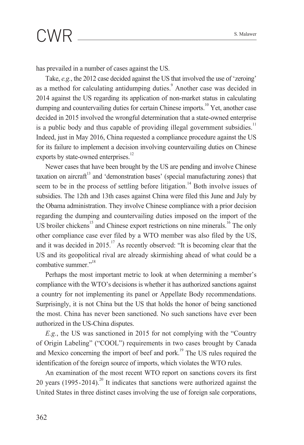# $\textsf{CWR}$   $\textsf{...}$  S. Malawer

has prevailed in a number of cases against the US.

Take, *e.g.*, the 2012 case decided against the US that involved the use of 'zeroing' as a method for calculating antidumping duties.<sup>9</sup> Another case was decided in 2014 against the US regarding its application of non-market status in calculating dumping and countervailing duties for certain Chinese imports.<sup>10</sup> Yet, another case decided in 2015 involved the wrongful determination that a state-owned enterprise is a public body and thus capable of providing illegal government subsidies.<sup>11</sup> Indeed, just in May 2016, China requested a compliance procedure against the US for its failure to implement a decision involving countervailing duties on Chinese exports by state-owned enterprises.<sup>12</sup>

Newer cases that have been brought by the US are pending and involve Chinese taxation on aircraft<sup>13</sup> and 'demonstration bases' (special manufacturing zones) that seem to be in the process of settling before litigation.<sup>14</sup> Both involve issues of subsidies. The 12th and 13th cases against China were filed this June and July by the Obama administration. They involve Chinese compliance with a prior decision regarding the dumping and countervailing duties imposed on the import of the US broiler chickens<sup>15</sup> and Chinese export restrictions on nine minerals.<sup>16</sup> The only other compliance case ever filed by a WTO member was also filed by the US, and it was decided in 2015.<sup>17</sup> As recently observed: "It is becoming clear that the US and its geopolitical rival are already skirmishing ahead of what could be a combative summer."<sup>18</sup>

Perhaps the most important metric to look at when determining a member's compliance with the WTO's decisions is whether it has authorized sanctions against a country for not implementing its panel or Appellate Body recommendations. Surprisingly, it is not China but the US that holds the honor of being sanctioned the most. China has never been sanctioned. No such sanctions have ever been authorized in the US-China disputes.

*E.g.*, the US was sanctioned in 2015 for not complying with the "Country of Origin Labeling" ("COOL") requirements in two cases brought by Canada and Mexico concerning the import of beef and pork.<sup>19</sup> The US rules required the identification of the foreign source of imports, which violates the WTO rules.

An examination of the most recent WTO report on sanctions covers its first 20 years  $(1995-2014)^{20}$  It indicates that sanctions were authorized against the United States in three distinct cases involving the use of foreign sale corporations,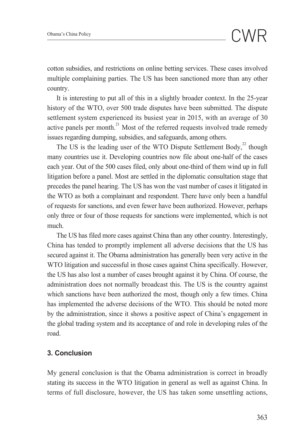cotton subsidies, and restrictions on online betting services. These cases involved multiple complaining parties. The US has been sanctioned more than any other country.

It is interesting to put all of this in a slightly broader context. In the 25-year history of the WTO, over 500 trade disputes have been submitted. The dispute settlement system experienced its busiest year in 2015, with an average of 30 active panels per month. $^{21}$  Most of the referred requests involved trade remedy issues regarding dumping, subsidies, and safeguards, among others.

The US is the leading user of the WTO Dispute Settlement Body,<sup>22</sup> though many countries use it. Developing countries now file about one-half of the cases each year. Out of the 500 cases filed, only about one-third of them wind up in full litigation before a panel. Most are settled in the diplomatic consultation stage that precedes the panel hearing. The US has won the vast number of cases it litigated in the WTO as both a complainant and respondent. There have only been a handful of requests for sanctions, and even fewer have been authorized. However, perhaps only three or four of those requests for sanctions were implemented, which is not much.

The US has filed more cases against China than any other country. Interestingly, China has tended to promptly implement all adverse decisions that the US has secured against it. The Obama administration has generally been very active in the WTO litigation and successful in those cases against China specifically. However, the US has also lost a number of cases brought against it by China. Of course, the administration does not normally broadcast this. The US is the country against which sanctions have been authorized the most, though only a few times. China has implemented the adverse decisions of the WTO. This should be noted more by the administration, since it shows a positive aspect of China's engagement in the global trading system and its acceptance of and role in developing rules of the road.

### **3. Conclusion**

My general conclusion is that the Obama administration is correct in broadly stating its success in the WTO litigation in general as well as against China. In terms of full disclosure, however, the US has taken some unsettling actions,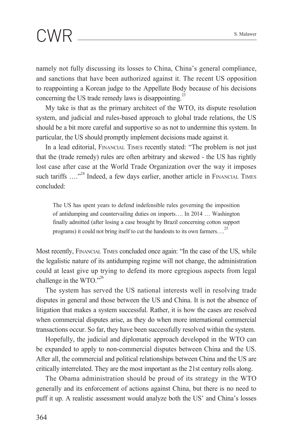# $\textsf{CWR}$   $\textsf{...}$  S. Malawer

namely not fully discussing its losses to China, China's general compliance, and sanctions that have been authorized against it. The recent US opposition to reappointing a Korean judge to the Appellate Body because of his decisions concerning the US trade remedy laws is disappointing.<sup>23</sup>

My take is that as the primary architect of the WTO, its dispute resolution system, and judicial and rules-based approach to global trade relations, the US should be a bit more careful and supportive so as not to undermine this system. In particular, the US should promptly implement decisions made against it.

In a lead editorial, Financial Times recently stated: "The problem is not just that the (trade remedy) rules are often arbitrary and skewed - the US has rightly lost case after case at the World Trade Organization over the way it imposes such tariffs ...."<sup>24</sup> Indeed, a few days earlier, another article in FINANCIAL TIMES concluded:

The US has spent years to defend indefensible rules governing the imposition of antidumping and countervailing duties on imports…. In 2014 … Washington finally admitted (after losing a case brought by Brazil concerning cotton support programs) it could not bring itself to cut the handouts to its own farmers….25

Most recently, Financial Times concluded once again: "In the case of the US, while the legalistic nature of its antidumping regime will not change, the administration could at least give up trying to defend its more egregious aspects from legal challenge in the WTO." $^{26}$ 

The system has served the US national interests well in resolving trade disputes in general and those between the US and China. It is not the absence of litigation that makes a system successful. Rather, it is how the cases are resolved when commercial disputes arise, as they do when more international commercial transactions occur. So far, they have been successfully resolved within the system.

Hopefully, the judicial and diplomatic approach developed in the WTO can be expanded to apply to non-commercial disputes between China and the US. After all, the commercial and political relationships between China and the US are critically interrelated. They are the most important as the 21st century rolls along.

The Obama administration should be proud of its strategy in the WTO generally and its enforcement of actions against China, but there is no need to puff it up. A realistic assessment would analyze both the US' and China's losses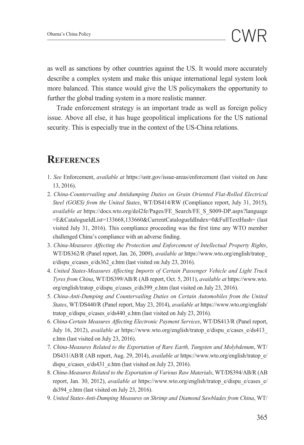as well as sanctions by other countries against the US. It would more accurately describe a complex system and make this unique international legal system look more balanced. This stance would give the US policymakers the opportunity to further the global trading system in a more realistic manner.

Trade enforcement strategy is an important trade as well as foreign policy issue. Above all else, it has huge geopolitical implications for the US national security. This is especially true in the context of the US-China relations.

### **References**

- 1. *See* Enforcement, *available at* https://ustr.gov/issue-areas/enforcement (last visited on June 13, 2016).
- 2. *China-Countervailing and Antidumping Duties on Grain Oriented Flat-Rolled Electrical Steel (GOES) from the United States*, WT/DS414/RW (Compliance report, July 31, 2015), *available at* https://docs.wto.org/dol2fe/Pages/FE\_Search/FE\_S\_S009-DP.aspx?language =E&CatalogueIdList=133668,133660&CurrentCatalogueIdIndex=0&FullTextHash= (last visited July 31, 2016). This compliance proceeding was the first time any WTO member challenged China's compliance with an adverse finding.
- 3. *China-Measures Affecting the Protection and Enforcement of Intellectual Property Rights*, WT/DS362/R (Panel report, Jan. 26, 2009), *available at* https://www.wto.org/english/tratop\_ e/dispu\_e/cases\_e/ds362\_e.htm (last visited on July 23, 2016).
- 4. *United States-Measures Affecting Imports of Certain Passenger Vehicle and Light Truck Tyres from China*, WT/DS399/AB/R (AB report, Oct. 5, 2011), *available at* https://www.wto. org/english/tratop\_e/dispu\_e/cases\_e/ds399\_e.htm (last visited on July 23, 2016).
- 5. *China-Anti-Dumping and Countervailing Duties on Certain Automobiles from the United States*, WT/DS440/R (Panel report, May 23, 2014), *available at* https://www.wto.org/english/ tratop\_e/dispu\_e/cases\_e/ds440\_e.htm (last visited on July 23, 2016).
- 6. *China-Certain Measures Affecting Electronic Payment Services*, WT/DS413/R (Panel report, July 16, 2012), *available at* https://www.wto.org/english/tratop\_e/dispu\_e/cases\_e/ds413\_ e.htm (last visited on July 23, 2016).
- 7. *China-Measures Related to the Exportation of Rare Earth, Tungsten and Molybdenum*, WT/ DS431/AB/R (AB report, Aug. 29, 2014), *available at* https://www.wto.org/english/tratop\_e/ dispu e/cases e/ds431 e.htm (last visited on July 23, 2016).
- 8. *China-Measures Related to the Exportation of Various Raw Materials*, WT/DS394/AB/R (AB report, Jan. 30, 2012), *available at* https://www.wto.org/english/tratop\_e/dispu\_e/cases\_e/ ds394 e.htm (last visited on July 23, 2016).
- 9. *United States-Anti-Dumping Measures on Shrimp and Diamond Sawblades from China*, WT/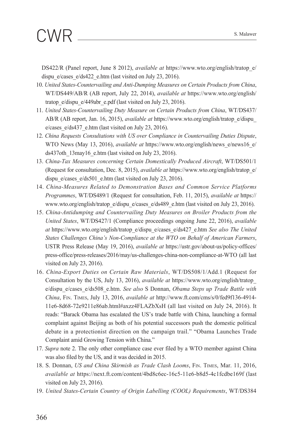# $\textsf{CWR}$   $\textsf{...}$  S. Malawer

DS422/R (Panel report, June 8 2012), *available at* https://www.wto.org/english/tratop\_e/ dispu\_e/cases\_e/ds422\_e.htm (last visited on July 23, 2016).

- 10. *United States-Countervailing and Anti-Dumping Measures on Certain Products from China*, WT/DS449/AB/R (AB report, July 22, 2014), *available at* https://www.wto.org/english/ tratop\_e/dispu\_e/449abr\_e.pdf (last visited on July 23, 2016).
- 11. *United States-Countervailing Duty Measure on Certain Products from China*, WT/DS437/ AB/R (AB report, Jan. 16, 2015), *available at* https://www.wto.org/english/tratop\_e/dispu\_ e/cases\_e/ds437\_e.htm (last visited on July 23, 2016).
- 12. *China Requests Consultations with US over Compliance in Countervailing Duties Dispute*, WTO News (May 13, 2016), *available at* https://www.wto.org/english/news\_e/news16\_e/ ds437oth\_13may16\_e.htm (last visited on July 23, 2016).
- 13. *China-Tax Measures concerning Certain Domestically Produced Aircraft*, WT/DS501/1 (Request for consultation, Dec. 8, 2015), *available at* https://www.wto.org/english/tratop\_e/ dispu e/cases e/ds501 e.htm (last visited on July 23, 2016).
- 14. *China-Measures Related to Demonstration Bases and Common Service Platforms Programmes*, WT/DS489/1 (Request for consultation, Feb. 11, 2015), *available at* https:// www.wto.org/english/tratop\_e/dispu\_e/cases\_e/ds489\_e.htm (last visited on July 23, 2016).
- 15. *China-Antidumping and Countervailing Duty Measures on Broiler Products from the United States*, WT/DS427/1 (Compliance proceedings ongoing June 22, 2016), *available at* https://www.wto.org/english/tratop\_e/dispu\_e/cases\_e/ds427\_e.htm *See also The United States Challenges China's Non-Compliance at the WTO on Behalf of American Farmers*, USTR Press Release (May 19, 2016), *available at* https://ustr.gov/about-us/policy-offices/ press-office/press-releases/2016/may/us-challenges-china-non-compliance-at-WTO (all last visited on July 23, 2016).
- 16. *China-Export Duties on Certain Raw Materials*, WT/DS508/1/Add.1 (Request for Consultation by the US, July 13, 2016), *available at* https://www.wto.org/english/tratop\_ e/dispu\_e/cases\_e/ds508\_e.htm. *See also* S Donnan, *Obama Steps up Trade Battle with China*, Fin. Times, July 13, 2016, *available at* http://www.ft.com/cms/s/0/fed9f136-4914- 11e6-8d68-72e9211e86ab.html#axzz4FLAZbXsH (all last visited on July 24, 2016). It reads: "Barack Obama has escalated the US's trade battle with China, launching a formal complaint against Beijing as both of his potential successors push the domestic political debate in a protectionist direction on the campaign trail." "Obama Launches Trade Complaint amid Growing Tension with China."
- 17. *Supra* note 2. The only other compliance case ever filed by a WTO member against China was also filed by the US, and it was decided in 2015.
- 18. S. Donnan, *US and China Skirmish as Trade Clash Looms*, Fin. Times, Mar. 11, 2016, *available at* https://next.ft.com/content/4bd8c6ec-16c5-11e6-b8d5-4c1fcdbe169f (last visited on July 23, 2016).
- 19. *United States-Certain Country of Origin Labelling (COOL) Requirements*, WT/DS384